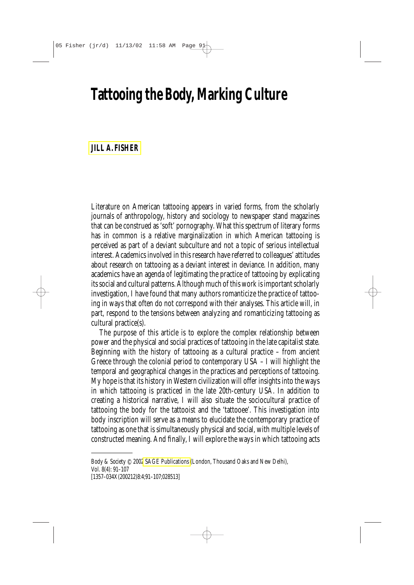# **Tattooing the Body, Marking Culture**

## **[JILL A. FISHER](#page-16-0)**

Literature on American tattooing appears in varied forms, from the scholarly journals of anthropology, history and sociology to newspaper stand magazines that can be construed as 'soft' pornography. What this spectrum of literary forms has in common is a relative marginalization in which American tattooing is perceived as part of a deviant subculture and not a topic of serious intellectual interest. Academics involved in this research have referred to colleagues' attitudes about research on tattooing as a deviant interest in deviance. In addition, many academics have an agenda of legitimating the practice of tattooing by explicating its social and cultural patterns. Although much of this work is important scholarly investigation, I have found that many authors romanticize the practice of tattooing in ways that often do not correspond with their analyses. This article will, in part, respond to the tensions between analyzing and romanticizing tattooing as cultural practice(s).

The purpose of this article is to explore the complex relationship between power and the physical and social practices of tattooing in the late capitalist state. Beginning with the history of tattooing as a cultural practice – from ancient Greece through the colonial period to contemporary USA – I will highlight the temporal and geographical changes in the practices and perceptions of tattooing. My hope is that its history in Western civilization will offer insights into the ways in which tattooing is practiced in the late 20th-century USA. In addition to creating a historical narrative, I will also situate the sociocultural practice of tattooing the body for the tattooist and the 'tattooee'. This investigation into body inscription will serve as a means to elucidate the contemporary practice of tattooing as one that is simultaneously physical and social, with multiple levels of constructed meaning. And finally, I will explore the ways in which tattooing acts

*Body & Society* © 200[2 SAGE Publications \(](www.sagepublications.com)London, Thousand Oaks and New Delhi), Vol. 8(4): 91–107

<sup>[1357–034</sup>X(200212)8:4;91–107;028513]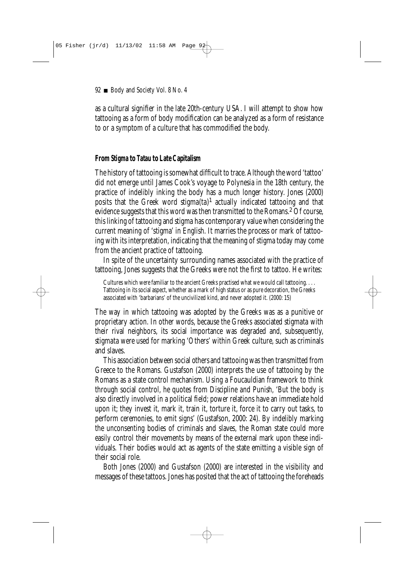as a cultural signifier in the late 20th-century USA. I will attempt to show how tattooing as a form of body modification can be analyzed as a form of resistance to or a symptom of a culture that has commodified the body.

## **From** *Stigma* **to** *Tatau* **to Late Capitalism**

The history of tattooing is somewhat difficult to trace. Although the word 'tattoo' did not emerge until James Cook's voyage to Polynesia in the 18th century, the practice of indelibly inking the body has a much longer history. Jones (2000) posits that the Greek word *stigma(ta)*<sup>1</sup> actually indicated tattooing and that evidence suggests that this word was then transmitted to the Romans.<sup>2</sup> Of course, this linking of tattooing and *stigma* has contemporary value when considering the current meaning of 'stigma' in English. It marries the process or mark of tattooing with its interpretation, indicating that the meaning of stigma today may come from the ancient practice of tattooing.

In spite of the uncertainty surrounding names associated with the practice of tattooing, Jones suggests that the Greeks were not the first to tattoo. He writes:

Cultures which were familiar to the ancient Greeks practised what we would call tattooing. . . . Tattooing in its social aspect, whether as a mark of high status or as pure decoration, the Greeks associated with 'barbarians' of the uncivilized kind, and never adopted it. (2000: 15)

The way in which tattooing was adopted by the Greeks was as a punitive or proprietary action. In other words, because the Greeks associated *stigmata* with their rival neighbors, its social importance was degraded and, subsequently, *stigmata* were used for marking 'Others' within Greek culture, such as criminals and slaves.

This association between social *others* and tattooing was then transmitted from Greece to the Romans. Gustafson (2000) interprets the use of tattooing by the Romans as a state control mechanism. Using a Foucauldian framework to think through social control, he quotes from *Discipline and Punish*, 'But the body is also directly involved in a political field; power relations have an immediate hold upon it; they invest it, mark it, train it, torture it, force it to carry out tasks, to perform ceremonies, to emit signs' (Gustafson, 2000: 24). By indelibly marking the unconsenting bodies of criminals and slaves, the Roman state could more easily control their movements by means of the external mark upon these individuals. Their bodies would act as agents of the state emitting a visible sign of their social role.

Both Jones (2000) and Gustafson (2000) are interested in the visibility and messages of these tattoos. Jones has posited that the act of tattooing the foreheads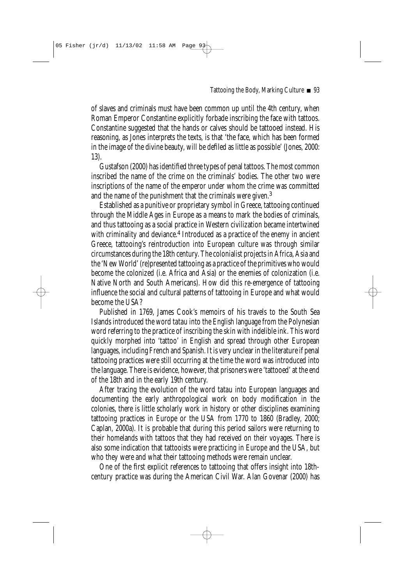of slaves and criminals must have been common up until the 4th century, when Roman Emperor Constantine explicitly forbade inscribing the face with tattoos. Constantine suggested that the hands or calves should be tattooed instead. His reasoning, as Jones interprets the texts, is that 'the face, which has been formed in the image of the divine beauty, will be defiled as little as possible' (Jones, 2000: 13).

Gustafson (2000) has identified three types of penal tattoos. The most common inscribed the name of the crime on the criminals' bodies. The other two were inscriptions of the name of the emperor under whom the crime was committed and the name of the punishment that the criminals were given.3

Established as a punitive or proprietary symbol in Greece, tattooing continued through the Middle Ages in Europe as a means to mark the bodies of criminals, and thus tattooing as a social practice in Western civilization became intertwined with criminality and deviance.<sup>4</sup> Introduced as a practice of the enemy in ancient Greece, tattooing's reintroduction into European culture was through similar circumstances during the 18th century. The colonialist projects in Africa, Asia and the 'New World' (re)presented tattooing as a practice of the primitives who would become the colonized (i.e. Africa and Asia) or the enemies of colonization (i.e. Native North and South Americans). How did this re-emergence of tattooing influence the social and cultural patterns of tattooing in Europe and what would become the USA?

Published in 1769, James Cook's memoirs of his travels to the South Sea Islands introduced the word *tatau* into the English language from the Polynesian word referring to the practice of inscribing the skin with indelible ink. This word quickly morphed into 'tattoo' in English and spread through other European languages, including French and Spanish. It is very unclear in the literature if penal tattooing practices were still occurring at the time the word was introduced into the language. There is evidence, however, that prisoners were 'tattooed' at the end of the 18th and in the early 19th century.

After tracing the evolution of the word *tatau* into European languages and documenting the early anthropological work on body modification in the colonies, there is little scholarly work in history or other disciplines examining tattooing practices in Europe or the USA from 1770 to 1860 (Bradley, 2000; Caplan, 2000a). It is probable that during this period sailors were returning to their homelands with tattoos that they had received on their voyages. There is also some indication that tattooists were practicing in Europe and the USA, but who they were and what their tattooing methods were remain unclear.

One of the first explicit references to tattooing that offers insight into 18thcentury practice was during the American Civil War. Alan Govenar (2000) has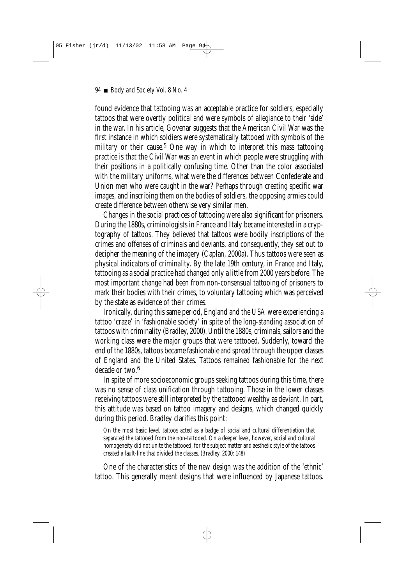found evidence that tattooing was an acceptable practice for soldiers, especially tattoos that were overtly political and were symbols of allegiance to their 'side' in the war. In his article, Govenar suggests that the American Civil War was the first instance in which soldiers were systematically tattooed with symbols of the military or their cause.<sup>5</sup> One way in which to interpret this mass tattooing practice is that the Civil War was an event in which people were struggling with their positions in a politically confusing time. Other than the color associated with the military uniforms, what were the differences between Confederate and Union men who were caught in the war? Perhaps through creating specific war images, and inscribing them on the bodies of soldiers, the opposing armies could create difference between otherwise very similar men.

Changes in the social practices of tattooing were also significant for prisoners. During the 1880s, criminologists in France and Italy became interested in a cryptography of tattoos. They believed that tattoos were bodily inscriptions of the crimes and offenses of criminals and deviants, and consequently, they set out to decipher the meaning of the imagery (Caplan, 2000a). Thus tattoos were seen as physical indicators of criminality. By the late 19th century, in France and Italy, tattooing as a social practice had changed only a little from 2000 years before. The most important change had been from non-consensual tattooing of prisoners to mark their bodies with their crimes, to voluntary tattooing which was perceived by the state as evidence of their crimes.

Ironically, during this same period, England and the USA were experiencing a tattoo 'craze' in 'fashionable society' in spite of the long-standing association of tattoos with criminality (Bradley, 2000). Until the 1880s, criminals, sailors and the working class were the major groups that were tattooed. Suddenly, toward the end of the 1880s, tattoos became fashionable and spread through the upper classes of England and the United States. Tattoos remained fashionable for the next decade or two.<sup>6</sup>

In spite of more socioeconomic groups seeking tattoos during this time, there was no sense of class unification through tattooing. Those in the lower classes receiving tattoos were still interpreted by the tattooed wealthy as deviant. In part, this attitude was based on tattoo imagery and designs, which changed quickly during this period. Bradley clarifies this point:

On the most basic level, tattoos acted as a badge of social and cultural differentiation that separated the tattooed from the non-tattooed. On a deeper level, however, social and cultural homogeneity did not unite the tattooed, for the subject matter and aesthetic style of the tattoos created a fault-line that divided the classes. (Bradley, 2000: 148)

One of the characteristics of the new design was the addition of the 'ethnic' tattoo. This generally meant designs that were influenced by Japanese tattoos.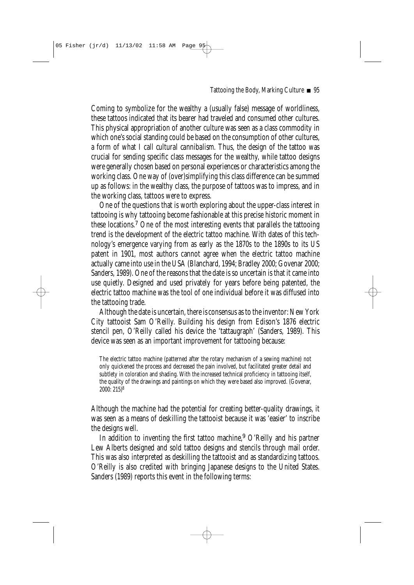Coming to symbolize for the wealthy a (usually false) message of worldliness, these tattoos indicated that its bearer had traveled and consumed other cultures. This physical appropriation of another culture was seen as a class commodity in which one's social standing could be based on the consumption of other cultures, a form of what I call *cultural cannibalism*. Thus, the design of the tattoo was crucial for sending specific class messages for the wealthy, while tattoo designs were generally chosen based on personal experiences or characteristics among the working class. One way of (over)simplifying this class difference can be summed up as follows: in the wealthy class, the purpose of tattoos was to impress, and in the working class, tattoos were to express.

One of the questions that is worth exploring about the upper-class interest in tattooing is why tattooing become fashionable at this precise historic moment in these locations.7 One of the most interesting events that parallels the tattooing trend is the development of the electric tattoo machine. With dates of this technology's emergence varying from as early as the 1870s to the 1890s to its US patent in 1901, most authors cannot agree when the electric tattoo machine actually came into use in the USA (Blanchard, 1994; Bradley 2000; Govenar 2000; Sanders, 1989). One of the reasons that the date is so uncertain is that it came into use quietly. Designed and used privately for years before being patented, the electric tattoo machine was the tool of one individual before it was diffused into the tattooing trade.

Although the date is uncertain, there *is* consensus as to the inventor: New York City tattooist Sam O'Reilly. Building his design from Edison's 1876 electric stencil pen, O'Reilly called his device the 'tattaugraph' (Sanders, 1989). This device was seen as an important improvement for tattooing because:

The electric tattoo machine (patterned after the rotary mechanism of a sewing machine) not only quickened the process and decreased the pain involved, but facilitated greater detail and subtlety in coloration and shading. With the increased technical proficiency in tattooing itself, the quality of the drawings and paintings on which they were based also improved. (Govenar, 2000: 215)8

Although the machine had the potential for creating better-quality drawings, it was seen as a means of deskilling the tattooist because it was 'easier' to inscribe the designs well.

In addition to inventing the first tattoo machine,<sup>9</sup> O'Reilly and his partner Lew Alberts designed and sold tattoo designs and stencils through mail order. This was also interpreted as deskilling the tattooist and as standardizing tattoos. O'Reilly is also credited with bringing Japanese designs to the United States. Sanders (1989) reports this event in the following terms: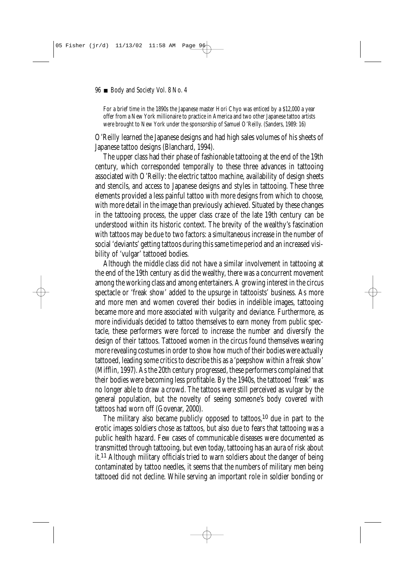For a brief time in the 1890s the Japanese master Hori Chyo was enticed by a \$12,000 a year offer from a New York millionaire to practice in America and two other Japanese tattoo artists were brought to New York under the sponsorship of Samuel O'Reilly. (Sanders, 1989: 16)

O'Reilly learned the Japanese designs and had high sales volumes of his sheets of Japanese tattoo designs (Blanchard, 1994).

The upper class had their phase of fashionable tattooing at the end of the 19th century, which corresponded temporally to these three advances in tattooing associated with O'Reilly: the electric tattoo machine, availability of design sheets and stencils, and access to Japanese designs and styles in tattooing. These three elements provided a less painful tattoo with more designs from which to choose, with more detail in the image than previously achieved. Situated by these changes in the tattooing process, the upper class craze of the late 19th century can be understood within its historic context. The brevity of the wealthy's fascination with tattoos may be due to two factors: a simultaneous increase in the number of social 'deviants' getting tattoos during this same time period and an increased visibility of 'vulgar' tattooed bodies.

Although the middle class did not have a similar involvement in tattooing at the end of the 19th century as did the wealthy, there was a concurrent movement among the working class and among entertainers. A growing interest in the circus spectacle or 'freak show' added to the upsurge in tattooists' business. As more and more men and women covered their bodies in indelible images, tattooing became more and more associated with vulgarity and deviance. Furthermore, as more individuals decided to tattoo themselves to earn money from public spectacle, these performers were forced to increase the number and diversify the design of their tattoos. Tattooed women in the circus found themselves wearing more revealing costumes in order to show how much of their bodies were actually tattooed, leading some critics to describe this as a 'peepshow within a freak show' (Mifflin, 1997). As the 20th century progressed, these performers complained that their bodies were becoming less profitable. By the 1940s, the tattooed 'freak' was no longer able to draw a crowd. The tattoos were still perceived as vulgar by the general population, but the novelty of seeing someone's body covered with tattoos had worn off (Govenar, 2000).

The military also became publicly opposed to tattoos,10 due in part to the erotic images soldiers chose as tattoos, but also due to fears that tattooing was a public health hazard. Few cases of communicable diseases were documented as transmitted through tattooing, but even today, tattooing has an aura of risk about it.11 Although military officials tried to warn soldiers about the danger of being contaminated by tattoo needles, it seems that the numbers of military men being tattooed did not decline. While serving an important role in soldier bonding or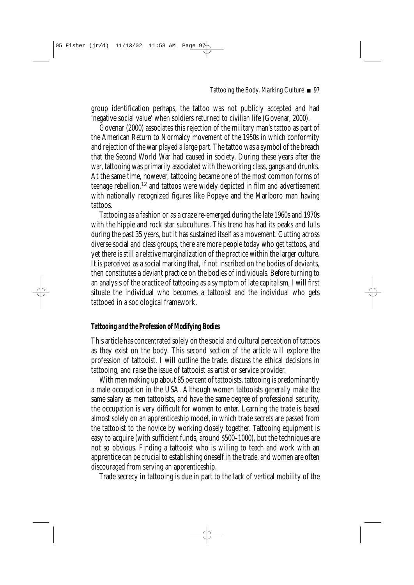group identification perhaps, the tattoo was not publicly accepted and had 'negative social value' when soldiers returned to civilian life (Govenar, 2000).

Govenar (2000) associates this rejection of the military man's tattoo as part of the American Return to Normalcy movement of the 1950s in which conformity and rejection of the war played a large part. The tattoo was a symbol of the breach that the Second World War had caused in society. During these years after the war, tattooing was primarily associated with the working class, gangs and drunks. At the same time, however, tattooing became one of the most common forms of teenage rebellion,12 and tattoos were widely depicted in film and advertisement with nationally recognized figures like Popeye and the Marlboro man having tattoos.

Tattooing as a fashion or as a craze re-emerged during the late 1960s and 1970s with the hippie and rock star subcultures. This trend has had its peaks and lulls during the past 35 years, but it has sustained itself as a movement. Cutting across diverse social and class groups, there are more people today who get tattoos, and yet there is still a relative marginalization of the practice within the larger culture. It is perceived as a social marking that, if not inscribed on the bodies of deviants, then constitutes a deviant practice on the bodies of individuals. Before turning to an analysis of the practice of tattooing as a symptom of late capitalism, I will first situate the individual who becomes a tattooist and the individual who gets tattooed in a sociological framework.

## **Tattooing and the Profession of Modifying Bodies**

This article has concentrated solely on the social and cultural perception of tattoos as they exist on the body. This second section of the article will explore the profession of tattooist. I will outline the trade, discuss the ethical decisions in tattooing, and raise the issue of tattooist as artist or service provider.

With men making up about 85 percent of tattooists, tattooing is predominantly a male occupation in the USA. Although women tattooists generally make the same salary as men tattooists, and have the same degree of professional security, the occupation is very difficult for women to enter. Learning the trade is based almost solely on an apprenticeship model, in which trade secrets are passed from the tattooist to the novice by working closely together. Tattooing equipment is easy to acquire (with sufficient funds, around \$500–1000), but the techniques are not so obvious. Finding a tattooist who is willing to teach and work with an apprentice can be crucial to establishing oneself in the trade, and women are often discouraged from serving an apprenticeship.

Trade secrecy in tattooing is due in part to the lack of vertical mobility of the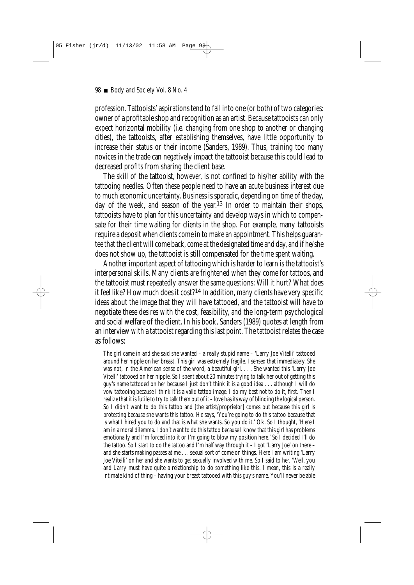profession. Tattooists' aspirations tend to fall into one (or both) of two categories: owner of a profitable shop and recognition as an artist. Because tattooists can only expect horizontal mobility (i.e. changing from one shop to another or changing cities), the tattooists, after establishing themselves, have little opportunity to increase their status or their income (Sanders, 1989). Thus, training too many novices in the trade can negatively impact the tattooist because this could lead to decreased profits from sharing the client base.

The skill of the tattooist, however, is not confined to his/her ability with the tattooing needles. Often these people need to have an acute business interest due to much economic uncertainty. Business is sporadic, depending on time of the day, day of the week, and season of the year.13 In order to maintain their shops, tattooists have to plan for this uncertainty and develop ways in which to compensate for their time waiting for clients in the shop. For example, many tattooists require a deposit when clients come in to make an appointment. This helps guarantee that the client will come back, come at the designated time and day, and if he/she does not show up, the tattooist is still compensated for the time spent waiting.

Another important aspect of tattooing which is harder to learn is the tattooist's interpersonal skills. Many clients are frightened when they come for tattoos, and the tattooist must repeatedly answer the same questions: Will it hurt? What does it feel like? How much does it cost?<sup>14</sup> In addition, many clients have very specific ideas about the image that they will have tattooed, and the tattooist will have to negotiate these desires with the cost, feasibility, and the long-term psychological and social welfare of the client. In his book, Sanders (1989) quotes at length from an interview with a tattooist regarding this last point. The tattooist relates the case as follows:

The girl came in and she said she wanted – a really stupid name – 'Larry Joe Vitelli' tattooed around her nipple on her breast. This girl was extremely fragile. I sensed that immediately. She was not, in the American sense of the word, a beautiful girl. . . . She wanted this 'Larry Joe Vitelli' tattooed on her nipple. So I spent about 20 minutes trying to talk her out of getting this guy's name tattooed on her because I just don't think it is a good idea . . . although I will do vow tattooing because I think it is a valid tattoo image. I do my best not to do it, first. Then I realize that it is futile to try to talk them out of it – love has its way of blinding the logical person. So I didn't want to do this tattoo and [the artist/proprietor] comes out because this girl is protesting because she wants this tattoo. He says, 'You're going to do this tattoo because that is what I hired you to do and that is what she wants. So you do it.' Ok. So I thought, 'Here I am in a moral dilemma. I don't want to do this tattoo because I know that this girl has problems emotionally and I'm forced into it or I'm going to blow my position here.' So I decided I'll do the tattoo. So I start to do the tattoo and I'm half way through it – I got 'Larry Joe' on there – and she starts making passes at me . . . sexual sort of come on things. Here I am writing 'Larry Joe Vitelli' on her and she wants to get sexually involved with me. So I said to her, 'Well, you and Larry must have quite a relationship to do something like this. I mean, this is a really intimate kind of thing – having your breast tattooed with this guy's name. You'll never be able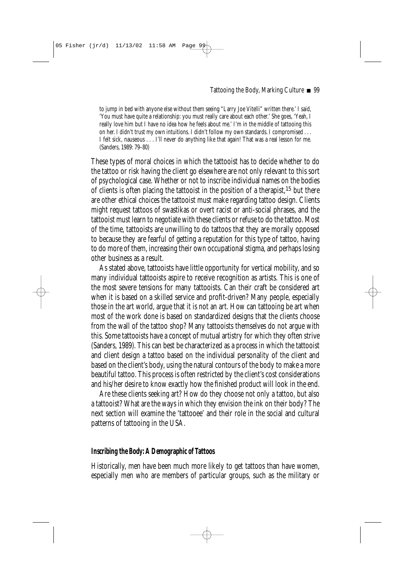to jump in bed with anyone else without them seeing "Larry Joe Vitelli" written there.' I said, 'You must have quite a relationship: you must really care about each other.' She goes, 'Yeah, I really love him but I have no idea how he feels about me.' I'm in the middle of tattooing this on her. I didn't trust my own intuitions. I didn't follow my own standards. I compromised . . . I felt sick, nauseous . . . I'll never do anything like that again! That was a real lesson for me. (Sanders, 1989: 79–80)

These types of moral choices in which the tattooist has to decide whether to do the tattoo or risk having the client go elsewhere are not only relevant to this sort of psychological case. Whether or not to inscribe individual names on the bodies of clients is often placing the tattooist in the position of a therapist,<sup>15</sup> but there are other ethical choices the tattooist must make regarding tattoo design. Clients might request tattoos of swastikas or overt racist or anti-social phrases, and the tattooist must learn to negotiate with these clients or refuse to do the tattoo. Most of the time, tattooists are unwilling to do tattoos that they are morally opposed to because they are fearful of getting a reputation for this type of tattoo, having to do more of them, increasing their own occupational stigma, and perhaps losing other business as a result.

As stated above, tattooists have little opportunity for vertical mobility, and so many individual tattooists aspire to receive recognition as artists. This is one of the most severe tensions for many tattooists. Can their craft be considered art when it is based on a skilled service and profit-driven? Many people, especially those in the art world, argue that it is not an art. How can tattooing be art when most of the work done is based on standardized designs that the clients choose from the wall of the tattoo shop? Many tattooists themselves do not argue with this. Some tattooists have a concept of mutual artistry for which they often strive (Sanders, 1989). This can best be characterized as a process in which the tattooist and client design a tattoo based on the individual personality of the client and based on the client's body, using the natural contours of the body to make a more beautiful tattoo. This process is often restricted by the client's cost considerations and his/her desire to know exactly how the finished product will look in the end.

Are these clients seeking art? How do they choose not only a tattoo, but also a tattooist? What are the ways in which they envision the ink on their body? The next section will examine the 'tattooee' and their role in the social and cultural patterns of tattooing in the USA.

#### **Inscribing the Body: A Demographic of Tattoos**

Historically, men have been much more likely to get tattoos than have women, especially men who are members of particular groups, such as the military or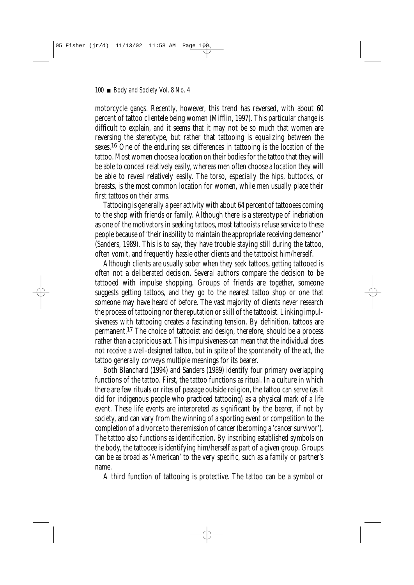motorcycle gangs. Recently, however, this trend has reversed, with about 60 percent of tattoo clientele being women (Mifflin, 1997). This particular change is difficult to explain, and it seems that it may not be so much that women are reversing the stereotype, but rather that tattooing is equalizing between the sexes.<sup>16</sup> One of the enduring sex differences in tattooing is the location of the tattoo. Most women choose a location on their bodies for the tattoo that they will be able to conceal relatively easily, whereas men often choose a location they will be able to reveal relatively easily. The torso, especially the hips, buttocks, or breasts, is the most common location for women, while men usually place their first tattoos on their arms.

Tattooing is generally a peer activity with about 64 percent of tattooees coming to the shop with friends or family. Although there is a stereotype of inebriation as one of the motivators in seeking tattoos, most tattooists refuse service to these people because of 'their inability to maintain the appropriate receiving demeanor' (Sanders, 1989). This is to say, they have trouble staying still during the tattoo, often vomit, and frequently hassle other clients and the tattooist him/herself.

Although clients are usually sober when they seek tattoos, getting tattooed is often not a deliberated decision. Several authors compare the decision to be tattooed with impulse shopping. Groups of friends are together, someone suggests getting tattoos, and they go to the nearest tattoo shop or one that someone may have heard of before. The vast majority of clients never research the process of tattooing nor the reputation or skill of the tattooist. Linking impulsiveness with tattooing creates a fascinating tension. By definition, tattoos are permanent.17 The choice of tattooist and design, therefore, should be a process rather than a capricious act. This impulsiveness can mean that the individual does not receive a well-designed tattoo, but in spite of the spontaneity of the act, the tattoo generally conveys multiple meanings for its bearer.

Both Blanchard (1994) and Sanders (1989) identify four primary overlapping functions of the tattoo. First, the tattoo functions as ritual. In a culture in which there are few rituals or rites of passage outside religion, the tattoo can serve (as it did for indigenous people who practiced tattooing) as a physical mark of a life event. These life events are interpreted as significant by the bearer, if not by society, and can vary from the winning of a sporting event or competition to the completion of a divorce to the remission of cancer (becoming a 'cancer survivor'). The tattoo also functions as identification. By inscribing established symbols on the body, the tattooee is identifying him/herself as part of a given group. Groups can be as broad as 'American' to the very specific, such as a family or partner's name.

A third function of tattooing is protective. The tattoo can be a symbol or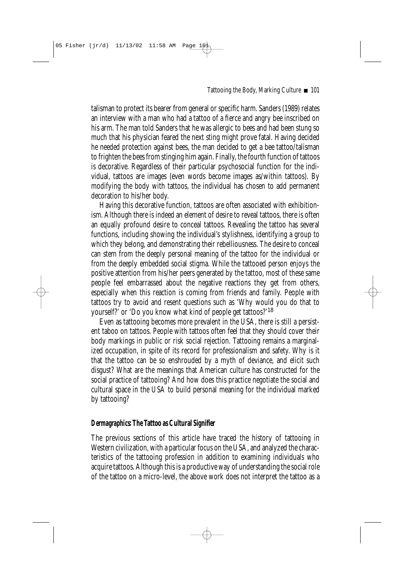talisman to protect its bearer from general or specific harm. Sanders (1989) relates an interview with a man who had a tattoo of a fierce and angry bee inscribed on his arm. The man told Sanders that he was allergic to bees and had been stung so much that his physician feared the next sting might prove fatal. Having decided he needed protection against bees, the man decided to get a bee tattoo/talisman to frighten the bees from stinging him again. Finally, the fourth function of tattoos is decorative. Regardless of their particular psychosocial function for the individual, tattoos are images (even words become images as/within tattoos). By modifying the body with tattoos, the individual has chosen to add permanent decoration to his/her body.

Having this decorative function, tattoos are often associated with exhibitionism. Although there is indeed an element of desire to reveal tattoos, there is often an equally profound desire to conceal tattoos. Revealing the tattoo has several functions, including showing the individual's stylishness, identifying a group to which they belong, and demonstrating their rebelliousness. The desire to conceal can stem from the deeply personal meaning of the tattoo for the individual or from the deeply embedded social stigma. While the tattooed person enjoys the positive attention from his/her peers generated by the tattoo, most of these same people feel embarrassed about the negative reactions they get from others, especially when this reaction is coming from friends and family. People with tattoos try to avoid and resent questions such as 'Why would you do that to yourself?' or 'Do you know what kind of people get tattoos?'18

Even as tattooing becomes more prevalent in the USA, there is still a persistent taboo on tattoos. People with tattoos often feel that they should cover their body markings in public or risk social rejection. Tattooing remains a marginalized occupation, in spite of its record for professionalism and safety. Why is it that the tattoo can be so enshrouded by a myth of deviance, and elicit such disgust? What are the meanings that American culture has constructed for the social practice of tattooing? And how does this practice negotiate the social and cultural space in the USA to build personal meaning for the individual marked by tattooing?

## *Dermagraphics***: The Tattoo as Cultural Signifier**

The previous sections of this article have traced the history of tattooing in Western civilization, with a particular focus on the USA, and analyzed the characteristics of the tattooing profession in addition to examining individuals who acquire tattoos. Although this is a productive way of understanding the social role of the tattoo on a micro-level, the above work does not interpret the tattoo as a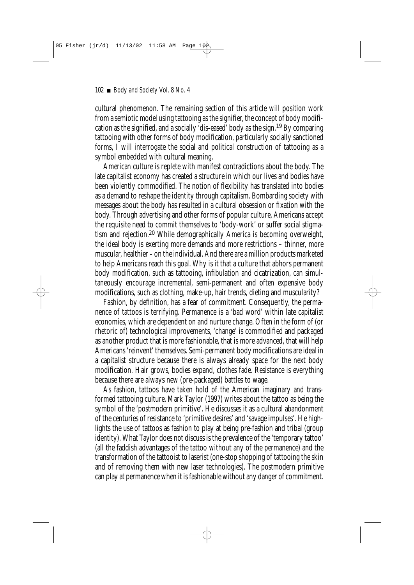cultural phenomenon. The remaining section of this article will position work from a semiotic model using tattooing as the signifier, the concept of body modification as the signified, and a socially 'dis-eased' body as the sign.19 By comparing tattooing with other forms of body modification, particularly socially sanctioned forms, I will interrogate the social and political construction of tattooing as a symbol embedded with cultural meaning.

American culture is replete with manifest contradictions about the body. The late capitalist economy has created a structure in which our lives and bodies have been violently commodified. The notion of flexibility has translated into bodies as a demand to reshape the identity through capitalism. Bombarding society with messages about the body has resulted in a cultural obsession or fixation with the body. Through advertising and other forms of popular culture, Americans accept the requisite need to commit themselves to 'body-work' or suffer social stigmatism and rejection.<sup>20</sup> While demographically America is becoming overweight, the ideal body is exerting more demands and more restrictions – thinner, more muscular, healthier – on the individual. And there are a million products marketed to help Americans reach this goal. Why is it that a culture that abhors permanent body modification, such as tattooing, infibulation and cicatrization, can simultaneously encourage incremental, semi-permanent and often expensive body modifications, such as clothing, make-up, hair trends, dieting and muscularity?

Fashion, by definition, has a fear of commitment. Consequently, the permanence of tattoos is terrifying. Permanence is a 'bad word' within late capitalist economies, which are dependent on and nurture change. Often in the form of (or rhetoric of) technological improvements, 'change' is commodified and packaged as another product that is more fashionable, that is more advanced, that will help Americans 'reinvent' themselves. Semi-permanent body modifications are ideal in a capitalist structure because there is always already space for the next body modification. Hair grows, bodies expand, clothes fade. Resistance is everything because there are always new (pre-packaged) battles to wage.

As fashion, tattoos have taken hold of the American imaginary and transformed tattooing culture. Mark Taylor (1997) writes about the tattoo as being the symbol of the 'postmodern primitive'. He discusses it as a cultural abandonment of the centuries of resistance to 'primitive desires' and 'savage impulses'. He highlights the use of tattoos as fashion to play at being pre-fashion and tribal (group identity). What Taylor does not discuss is the prevalence of the 'temporary tattoo' (all the faddish advantages of the tattoo without any of the permanence) and the transformation of the tattooist to laserist (one-stop shopping of tattooing the skin and of removing them with new laser technologies). The postmodern primitive can play at permanence when it is fashionable without any danger of commitment.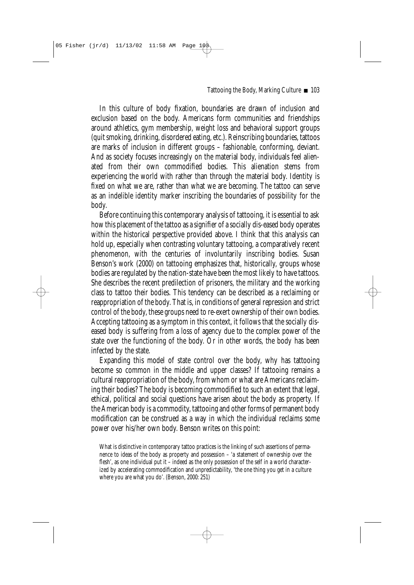In this culture of body fixation, boundaries are drawn of inclusion and exclusion based on the body. Americans form communities and friendships around athletics, gym membership, weight loss and behavioral support groups (quit smoking, drinking, disordered eating, etc.). Reinscribing boundaries, tattoos are marks of inclusion in different groups – fashionable, conforming, deviant. And as society focuses increasingly on the material body, individuals feel alienated from their own commodified bodies. This alienation stems from experiencing the world with rather than *through* the material body. Identity is fixed on what we are, rather than what we are becoming. The tattoo can serve as an indelible identity marker inscribing the boundaries of possibility for the body.

Before continuing this contemporary analysis of tattooing, it is essential to ask how this placement of the tattoo as a signifier of a socially dis-eased body operates within the historical perspective provided above. I think that this analysis can hold up, especially when contrasting voluntary tattooing, a comparatively recent phenomenon, with the centuries of involuntarily inscribing bodies. Susan Benson's work (2000) on tattooing emphasizes that, historically, groups whose bodies are regulated by the nation-state have been the most likely to have tattoos. She describes the recent predilection of prisoners, the military and the working class to tattoo their bodies. This tendency can be described as a reclaiming or reappropriation of the body. That is, in conditions of general repression and strict control of the body, these groups need to re-exert ownership of their own bodies. Accepting tattooing as a symptom in this context, it follows that the socially diseased body is suffering from a loss of agency due to the complex power of the state over the functioning of the body. Or in other words, the body has been infected by the state.

Expanding this model of state control over the body, why has tattooing become so common in the middle and upper classes? If tattooing remains a cultural reappropriation of the body, from whom or what are Americans reclaiming their bodies? The body is becoming commodified to such an extent that legal, ethical, political and social questions have arisen about the body as property. If the American body is a commodity, tattooing and other forms of permanent body modification can be construed as a way in which the individual reclaims some power over his/her own body. Benson writes on this point:

What is distinctive in contemporary tattoo practices is the linking of such assertions of permanence to ideas of the body as property and possession – 'a statement of ownership over the flesh', as one individual put it – indeed as the *only* possession of the self in a world characterized by accelerating commodification and unpredictability, 'the one thing you get in a culture where you are what you do'. (Benson, 2000: 251)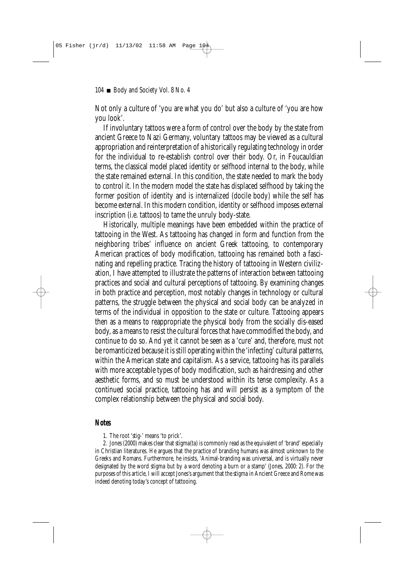Not only a culture of 'you are what you do' but also a culture of 'you are how you look'.

If involuntary tattoos were a form of control over the body by the state from ancient Greece to Nazi Germany, voluntary tattoos may be viewed as a cultural appropriation and reinterpretation of a historically regulating technology in order for the individual to re-establish control over their body. Or, in Foucauldian terms, the classical model placed identity or selfhood internal to the body, while the state remained external. In this condition, the state needed to mark the body to control it. In the modern model the state has displaced selfhood by taking the former position of identity and is internalized (docile body) while the self has become external. In this modern condition, identity or selfhood imposes external inscription (i.e. tattoos) to tame the unruly body-state.

Historically, multiple meanings have been embedded within the practice of tattooing in the West. As tattooing has changed in form and function from the neighboring tribes' influence on ancient Greek tattooing, to contemporary American practices of body modification, tattooing has remained both a fascinating and repelling practice. Tracing the history of tattooing in Western civilization, I have attempted to illustrate the patterns of interaction between tattooing practices and social and cultural perceptions of tattooing. By examining changes in both practice and perception, most notably changes in technology or cultural patterns, the struggle between the physical and social body can be analyzed in terms of the individual in opposition to the state or culture. Tattooing appears then as a means to reappropriate the physical body from the socially dis-eased body, as a means to resist the cultural forces that have commodified the body, and continue to do so. And yet it cannot be seen as a 'cure' and, therefore, must not be romanticized because it is still operating within the 'infecting' cultural patterns, within the American state and capitalism. As a service, tattooing has its parallels with more acceptable types of body modification, such as hairdressing and other aesthetic forms, and so must be understood within its tense complexity. As a continued social practice, tattooing has and will persist as a symptom of the complex relationship between the physical and social body.

#### **Notes**

1. The root '*stig*-' means 'to prick'.

2. Jones (2000) makes clear that *stigma(ta)* is commonly read as the equivalent of 'brand' especially in Christian literatures. He argues that the practice of branding humans was almost unknown to the Greeks and Romans. Furthermore, he insists, 'Animal-branding was universal, and is virtually never designated by the word *stigma* but by a word denoting a burn or a stamp' (Jones, 2000: 2). For the purposes of this article, I will accept Jones's argument that the *stigma* in Ancient Greece and Rome was indeed denoting today's concept of tattooing.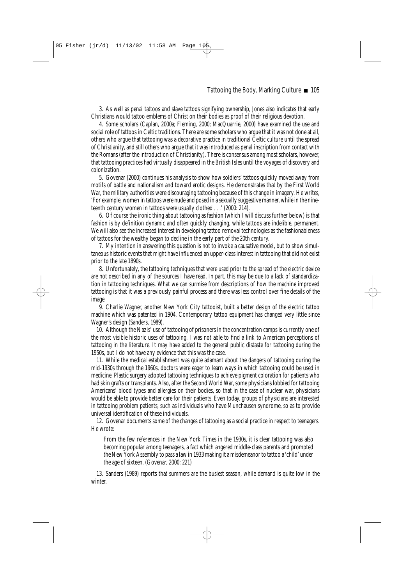3. As well as penal tattoos and slave tattoos signifying ownership, Jones also indicates that early Christians would tattoo emblems of Christ on their bodies as proof of their religious devotion.

4. Some scholars (Caplan, 2000a; Fleming, 2000; MacQuarrie, 2000) have examined the use and social role of tattoos in Celtic traditions. There are some scholars who argue that it was not done at all, others who argue that tattooing was a decorative practice in traditional Celtic culture until the spread of Christianity, and still others who argue that it was introduced as penal inscription from contact with the Romans (after the introduction of Christianity). There is consensus among most scholars, however, that tattooing practices had virtually disappeared in the British Isles until the voyages of discovery and colonization.

5. Govenar (2000) continues his analysis to show how soldiers' tattoos quickly moved away from motifs of battle and nationalism and toward erotic designs. He demonstrates that by the First World War, the military authorities were discouraging tattooing because of this change in imagery. He writes, 'For example, women in tattoos were nude and posed in a sexually suggestive manner, while in the nineteenth century women in tattoos were usually clothed ...' (2000: 214).

6. Of course the ironic thing about tattooing as fashion (which I will discuss further below) is that fashion is by definition dynamic and often quickly changing, while tattoos are indelible, permanent. We will also see the increased interest in developing tattoo removal technologies as the fashionableness of tattoos for the wealthy began to decline in the early part of the 20th century.

7. My intention in answering this question is not to invoke a causative model, but to show simultaneous historic events that might have influenced an upper-class interest in tattooing that did not exist prior to the late 1890s.

8. Unfortunately, the tattooing techniques that were used prior to the spread of the electric device are not described in any of the sources I have read. In part, this may be due to a lack of standardization in tattooing techniques. What we can surmise from descriptions of how the machine improved tattooing is that it was a previously painful process and there was less control over fine details of the image.

9. Charlie Wagner, another New York City tattooist, built a better design of the electric tattoo machine which was patented in 1904. Contemporary tattoo equipment has changed very little since Wagner's design (Sanders, 1989).

10. Although the Nazis' use of tattooing of prisoners in the concentration camps is currently one of the most visible historic uses of tattooing. I was not able to find a link to American perceptions of tattooing in the literature. It may have added to the general public distaste for tattooing during the 1950s, but I do not have any evidence that this was the case.

11. While the medical establishment was quite adamant about the dangers of tattooing during the mid-1930s through the 1960s, doctors were eager to learn ways in which tattooing could be used in medicine. Plastic surgery adopted tattooing techniques to achieve pigment coloration for patients who had skin grafts or transplants. Also, after the Second World War, some physicians lobbied for tattooing Americans' blood types and allergies on their bodies, so that in the case of nuclear war, physicians would be able to provide better care for their patients. Even today, groups of physicians are interested in tattooing problem patients, such as individuals who have Munchausen syndrome, so as to provide universal identification of these individuals.

12. Govenar documents some of the changes of tattooing as a social practice in respect to teenagers. He wrote:

From the few references in the New York Times in the 1930s, it is clear tattooing was also becoming popular among teenagers, a fact which angered middle-class parents and prompted the New York Assembly to pass a law in 1933 making it a misdemeanor to tattoo a 'child' under the age of sixteen. (Govenar, 2000: 221)

13. Sanders (1989) reports that summers are the busiest season, while demand is quite low in the winter.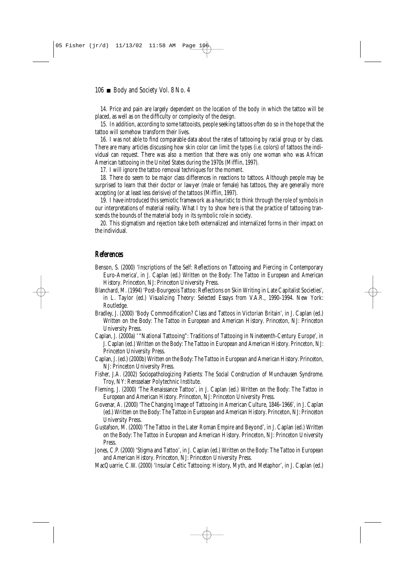#### 106 Body and Society Vol. 8 No. 4

14. Price and pain are largely dependent on the location of the body in which the tattoo will be placed, as well as on the difficulty or complexity of the design.

15. In addition, according to some tattooists, people seeking tattoos often do so in the hope that the tattoo will somehow transform their lives.

16. I was not able to find comparable data about the rates of tattooing by racial group or by class. There are many articles discussing how skin color can limit the types (i.e. colors) of tattoos the individual can request. There was also a mention that there was only one woman who was African American tattooing in the United States during the 1970s (Mifflin, 1997).

17. I will ignore the tattoo removal techniques for the moment.

18. There do seem to be major class differences in reactions to tattoos. Although people may be surprised to learn that their doctor or lawyer (male or female) has tattoos, they are generally more accepting (or at least less derisive) of the tattoos (Mifflin, 1997).

19. I have introduced this semiotic framework as a heuristic to think through the role of symbols in our interpretations of material reality. What I try to show here is that the practice of tattooing transcends the bounds of the material body in its symbolic role in society.

20. This stigmatism and rejection take both externalized and internalized forms in their impact on the individual.

### **References**

- Benson, S. (2000) 'Inscriptions of the Self: Reflections on Tattooing and Piercing in Contemporary Euro-America', in J. Caplan (ed.) *Written on the Body: The Tattoo in European and American History*. Princeton, NJ: Princeton University Press.
- Blanchard, M. (1994) 'Post-Bourgeois Tattoo: Reflections on Skin Writing in Late Capitalist Societies', in L. Taylor (ed.) *Visualizing Theory: Selected Essays from V.A.R., 1990–1994*. New York: Routledge.
- Bradley, J. (2000) 'Body Commodification? Class and Tattoos in Victorian Britain', in J. Caplan (ed.) *Written on the Body: The Tattoo in European and American History*. Princeton, NJ: Princeton University Press.
- Caplan, J. (2000a) ' "National Tattooing": Traditions of Tattooing in Nineteenth-Century Europe', in J. Caplan (ed.) *Written on the Body: The Tattoo in European and American History*. Princeton, NJ: Princeton University Press.
- Caplan, J. (ed.) (2000b) *Written on the Body: The Tattoo in European and American History*. Princeton, NJ: Princeton University Press.
- Fisher, J.A. (2002) *Sociopathologizing Patients: The Social Construction of Munchausen Syndrome*. Troy, NY: Rensselaer Polytechnic Institute.
- Fleming, J. (2000) 'The Renaissance Tattoo', in J. Caplan (ed.) *Written on the Body: The Tattoo in European and American History*. Princeton, NJ: Princeton University Press.
- Govenar, A. (2000) 'The Changing Image of Tattooing in American Culture, 1846–1966', in J. Caplan (ed.) *Written on the Body: The Tattoo in European and American History*. Princeton, NJ: Princeton University Press.
- Gustafson, M. (2000) 'The Tattoo in the Later Roman Empire and Beyond', in J. Caplan (ed.) *Written on the Body: The Tattoo in European and American History*. Princeton, NJ: Princeton University Press.
- Jones, C.P. (2000) 'Stigma and Tattoo', in J. Caplan (ed.) *Written on the Body: The Tattoo in European and American History*. Princeton, NJ: Princeton University Press.
- MacQuarrie, C.W. (2000) 'Insular Celtic Tattooing: History, Myth, and Metaphor', in J. Caplan (ed.)